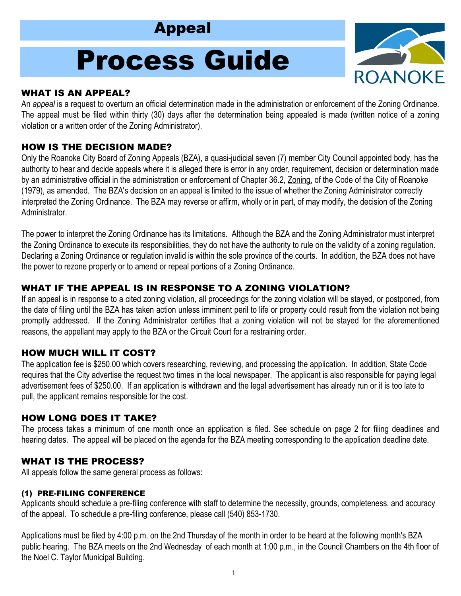# Appeal

# Process Guide



#### WHAT IS AN APPEAL?

An *appeal* is a request to overturn an official determination made in the administration or enforcement of the Zoning Ordinance. The appeal must be filed within thirty (30) days after the determination being appealed is made (written notice of a zoning violation or a written order of the Zoning Administrator).

# HOW IS THE DECISION MADE?

Only the Roanoke City Board of Zoning Appeals (BZA), a quasi-judicial seven (7) member City Council appointed body, has the authority to hear and decide appeals where it is alleged there is error in any order, requirement, decision or determination made by an administrative official in the administration or enforcement of Chapter 36.2, Zoning, of the Code of the City of Roanoke (1979), as amended. The BZA's decision on an appeal is limited to the issue of whether the Zoning Administrator correctly interpreted the Zoning Ordinance. The BZA may reverse or affirm, wholly or in part, of may modify, the decision of the Zoning Administrator.

The power to interpret the Zoning Ordinance has its limitations. Although the BZA and the Zoning Administrator must interpret the Zoning Ordinance to execute its responsibilities, they do not have the authority to rule on the validity of a zoning regulation. Declaring a Zoning Ordinance or regulation invalid is within the sole province of the courts. In addition, the BZA does not have the power to rezone property or to amend or repeal portions of a Zoning Ordinance.

# WHAT IF THE APPEAL IS IN RESPONSE TO A ZONING VIOLATION?

If an appeal is in response to a cited zoning violation, all proceedings for the zoning violation will be stayed, or postponed, from the date of filing until the BZA has taken action unless imminent peril to life or property could result from the violation not being promptly addressed. If the Zoning Administrator certifies that a zoning violation will not be stayed for the aforementioned reasons, the appellant may apply to the BZA or the Circuit Court for a restraining order.

# HOW MUCH WILL IT COST?

The application fee is \$250.00 which covers researching, reviewing, and processing the application. In addition, State Code requires that the City advertise the request two times in the local newspaper. The applicant is also responsible for paying legal advertisement fees of \$250.00. If an application is withdrawn and the legal advertisement has already run or it is too late to pull, the applicant remains responsible for the cost.

#### HOW LONG DOES IT TAKE?

The process takes a minimum of one month once an application is filed. See schedule on page 2 for filing deadlines and hearing dates. The appeal will be placed on the agenda for the BZA meeting corresponding to the application deadline date.

#### WHAT IS THE PROCESS?

All appeals follow the same general process as follows:

#### (1) PRE-FILING CONFERENCE

Applicants should schedule a pre-filing conference with staff to determine the necessity, grounds, completeness, and accuracy of the appeal. To schedule a pre-filing conference, please call (540) 853-1730.

Applications must be filed by 4:00 p.m. on the 2nd Thursday of the month in order to be heard at the following month's BZA public hearing. The BZA meets on the 2nd Wednesday of each month at 1:00 p.m., in the Council Chambers on the 4th floor of the Noel C. Taylor Municipal Building.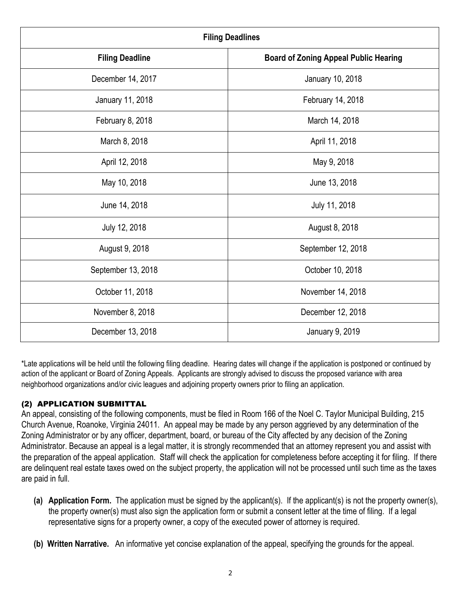| <b>Filing Deadlines</b> |                                              |  |  |  |
|-------------------------|----------------------------------------------|--|--|--|
| <b>Filing Deadline</b>  | <b>Board of Zoning Appeal Public Hearing</b> |  |  |  |
| December 14, 2017       | January 10, 2018                             |  |  |  |
| January 11, 2018        | February 14, 2018                            |  |  |  |
| February 8, 2018        | March 14, 2018                               |  |  |  |
| March 8, 2018           | April 11, 2018                               |  |  |  |
| April 12, 2018          | May 9, 2018                                  |  |  |  |
| May 10, 2018            | June 13, 2018                                |  |  |  |
| June 14, 2018           | July 11, 2018                                |  |  |  |
| July 12, 2018           | August 8, 2018                               |  |  |  |
| August 9, 2018          | September 12, 2018                           |  |  |  |
| September 13, 2018      | October 10, 2018                             |  |  |  |
| October 11, 2018        | November 14, 2018                            |  |  |  |
| November 8, 2018        | December 12, 2018                            |  |  |  |
| December 13, 2018       | January 9, 2019                              |  |  |  |

\*Late applications will be held until the following filing deadline. Hearing dates will change if the application is postponed or continued by action of the applicant or Board of Zoning Appeals. Applicants are strongly advised to discuss the proposed variance with area neighborhood organizations and/or civic leagues and adjoining property owners prior to filing an application.

# (2) APPLICATION SUBMITTAL

An appeal, consisting of the following components, must be filed in Room 166 of the Noel C. Taylor Municipal Building, 215 Church Avenue, Roanoke, Virginia 24011. An appeal may be made by any person aggrieved by any determination of the Zoning Administrator or by any officer, department, board, or bureau of the City affected by any decision of the Zoning Administrator. Because an appeal is a legal matter, it is strongly recommended that an attorney represent you and assist with the preparation of the appeal application. Staff will check the application for completeness before accepting it for filing. If there are delinquent real estate taxes owed on the subject property, the application will not be processed until such time as the taxes are paid in full.

- **(a) Application Form.** The application must be signed by the applicant(s). If the applicant(s) is not the property owner(s), the property owner(s) must also sign the application form or submit a consent letter at the time of filing. If a legal representative signs for a property owner, a copy of the executed power of attorney is required.
- **(b) Written Narrative.** An informative yet concise explanation of the appeal, specifying the grounds for the appeal.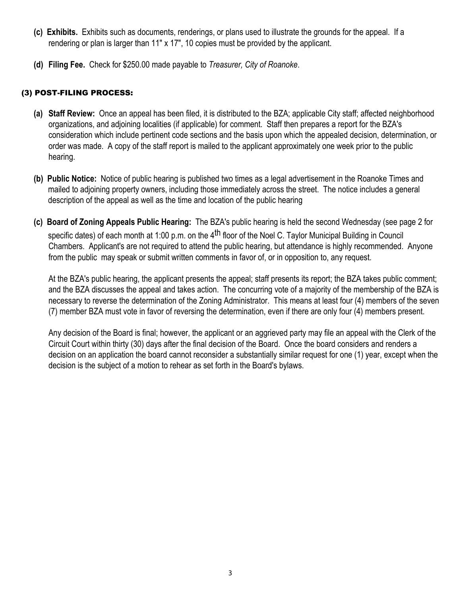- **(c) Exhibits.** Exhibits such as documents, renderings, or plans used to illustrate the grounds for the appeal. If a rendering or plan is larger than 11" x 17", 10 copies must be provided by the applicant.
- **(d) Filing Fee.** Check for \$250.00 made payable to *Treasurer, City of Roanoke*.

#### (3) POST-FILING PROCESS:

- **(a) Staff Review:** Once an appeal has been filed, it is distributed to the BZA; applicable City staff; affected neighborhood organizations, and adjoining localities (if applicable) for comment. Staff then prepares a report for the BZA's consideration which include pertinent code sections and the basis upon which the appealed decision, determination, or order was made. A copy of the staff report is mailed to the applicant approximately one week prior to the public hearing.
- **(b) Public Notice:** Notice of public hearing is published two times as a legal advertisement in the Roanoke Times and mailed to adjoining property owners, including those immediately across the street. The notice includes a general description of the appeal as well as the time and location of the public hearing
- **(c) Board of Zoning Appeals Public Hearing:** The BZA's public hearing is held the second Wednesday (see page 2 for specific dates) of each month at 1:00 p.m. on the 4<sup>th</sup> floor of the Noel C. Taylor Municipal Building in Council Chambers. Applicant's are not required to attend the public hearing, but attendance is highly recommended. Anyone from the public may speak or submit written comments in favor of, or in opposition to, any request.

At the BZA's public hearing, the applicant presents the appeal; staff presents its report; the BZA takes public comment; and the BZA discusses the appeal and takes action. The concurring vote of a majority of the membership of the BZA is necessary to reverse the determination of the Zoning Administrator. This means at least four (4) members of the seven (7) member BZA must vote in favor of reversing the determination, even if there are only four (4) members present.

Any decision of the Board is final; however, the applicant or an aggrieved party may file an appeal with the Clerk of the Circuit Court within thirty (30) days after the final decision of the Board. Once the board considers and renders a decision on an application the board cannot reconsider a substantially similar request for one (1) year, except when the decision is the subject of a motion to rehear as set forth in the Board's bylaws.